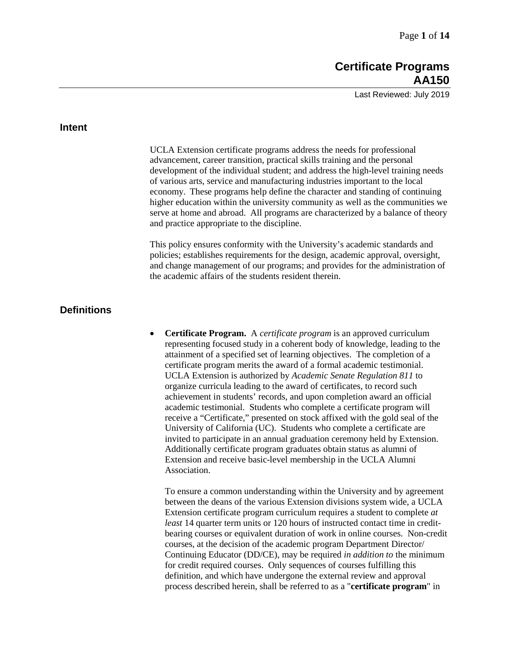Last Reviewed: July 2019

### **Intent**

UCLA Extension certificate programs address the needs for professional advancement, career transition, practical skills training and the personal development of the individual student; and address the high-level training needs of various arts, service and manufacturing industries important to the local economy. These programs help define the character and standing of continuing higher education within the university community as well as the communities we serve at home and abroad. All programs are characterized by a balance of theory and practice appropriate to the discipline.

This policy ensures conformity with the University's academic standards and policies; establishes requirements for the design, academic approval, oversight, and change management of our programs; and provides for the administration of the academic affairs of the students resident therein.

# **Definitions**

• **Certificate Program.** A *certificate program* is an approved curriculum representing focused study in a coherent body of knowledge, leading to the attainment of a specified set of learning objectives. The completion of a certificate program merits the award of a formal academic testimonial. UCLA Extension is authorized by *Academic Senate Regulation 811* to organize curricula leading to the award of certificates, to record such achievement in students' records, and upon completion award an official academic testimonial. Students who complete a certificate program will receive a "Certificate," presented on stock affixed with the gold seal of the University of California (UC). Students who complete a certificate are invited to participate in an annual graduation ceremony held by Extension. Additionally certificate program graduates obtain status as alumni of Extension and receive basic-level membership in the UCLA Alumni Association.

To ensure a common understanding within the University and by agreement between the deans of the various Extension divisions system wide, a UCLA Extension certificate program curriculum requires a student to complete *at least* 14 quarter term units or 120 hours of instructed contact time in creditbearing courses or equivalent duration of work in online courses. Non-credit courses, at the decision of the academic program Department Director/ Continuing Educator (DD/CE), may be required *in addition to* the minimum for credit required courses. Only sequences of courses fulfilling this definition, and which have undergone the external review and approval process described herein, shall be referred to as a "**certificate program**" in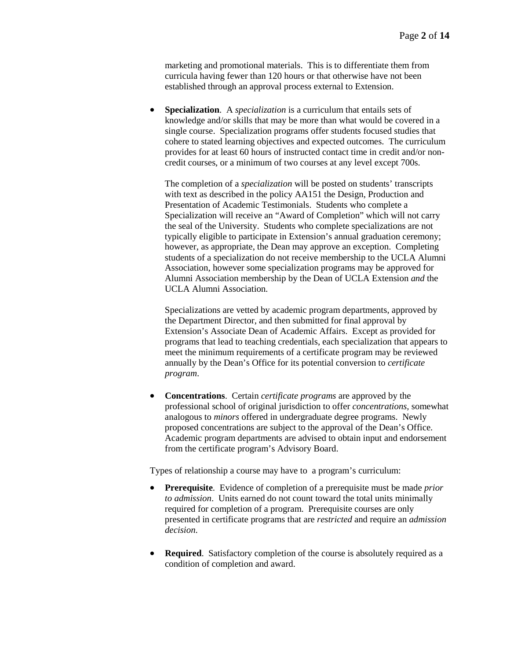marketing and promotional materials. This is to differentiate them from curricula having fewer than 120 hours or that otherwise have not been established through an approval process external to Extension.

• **Specialization**. A *specialization* is a curriculum that entails sets of knowledge and/or skills that may be more than what would be covered in a single course. Specialization programs offer students focused studies that cohere to stated learning objectives and expected outcomes. The curriculum provides for at least 60 hours of instructed contact time in credit and/or noncredit courses, or a minimum of two courses at any level except 700s.

The completion of a *specialization* will be posted on students' transcripts with text as described in the policy AA151 the Design, Production and Presentation of Academic Testimonials. Students who complete a Specialization will receive an "Award of Completion" which will not carry the seal of the University. Students who complete specializations are not typically eligible to participate in Extension's annual graduation ceremony; however, as appropriate, the Dean may approve an exception. Completing students of a specialization do not receive membership to the UCLA Alumni Association, however some specialization programs may be approved for Alumni Association membership by the Dean of UCLA Extension *and* the UCLA Alumni Association.

Specializations are vetted by academic program departments, approved by the Department Director, and then submitted for final approval by Extension's Associate Dean of Academic Affairs. Except as provided for programs that lead to teaching credentials, each specialization that appears to meet the minimum requirements of a certificate program may be reviewed annually by the Dean's Office for its potential conversion to *certificate program*.

• **Concentrations**. Certain *certificate programs* are approved by the professional school of original jurisdiction to offer *concentrations,* somewhat analogous to *minors* offered in undergraduate degree programs. Newly proposed concentrations are subject to the approval of the Dean's Office. Academic program departments are advised to obtain input and endorsement from the certificate program's Advisory Board.

Types of relationship a course may have to a program's curriculum:

- **Prerequisite**. Evidence of completion of a prerequisite must be made *prior to admission*. Units earned do not count toward the total units minimally required for completion of a program. Prerequisite courses are only presented in certificate programs that are *restricted* and require an *admission decision*.
- **Required.** Satisfactory completion of the course is absolutely required as a condition of completion and award.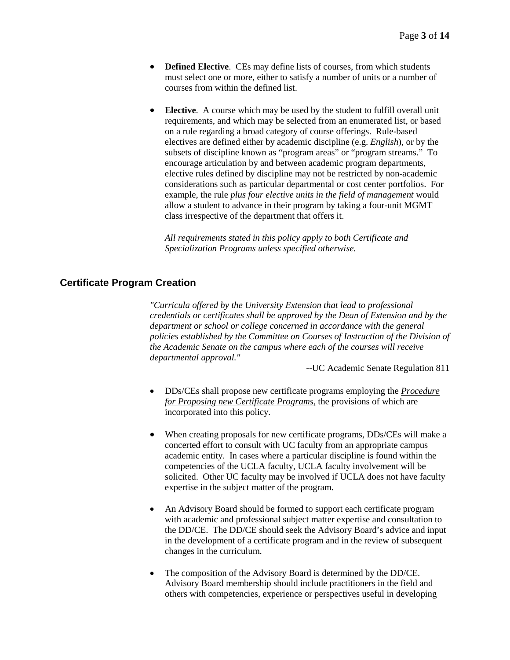- **Defined Elective**. CEs may define lists of courses, from which students must select one or more, either to satisfy a number of units or a number of courses from within the defined list.
- **Elective**. A course which may be used by the student to fulfill overall unit requirements, and which may be selected from an enumerated list, or based on a rule regarding a broad category of course offerings. Rule-based electives are defined either by academic discipline (e.g. *English*), or by the subsets of discipline known as "program areas" or "program streams." To encourage articulation by and between academic program departments, elective rules defined by discipline may not be restricted by non-academic considerations such as particular departmental or cost center portfolios. For example, the rule *plus four elective units in the field of management* would allow a student to advance in their program by taking a four-unit MGMT class irrespective of the department that offers it.

*All requirements stated in this policy apply to both Certificate and Specialization Programs unless specified otherwise.*

## **Certificate Program Creation**

*"Curricula offered by the University Extension that lead to professional credentials or certificates shall be approved by the Dean of Extension and by the department or school or college concerned in accordance with the general policies established by the Committee on Courses of Instruction of the Division of the Academic Senate on the campus where each of the courses will receive departmental approval."*

--UC Academic Senate Regulation 811

- DDs/CEs shall propose new certificate programs employing the *Procedure for Proposing new Certificate Programs*, the provisions of which are incorporated into this policy.
- When creating proposals for new certificate programs, DDs/CEs will make a concerted effort to consult with UC faculty from an appropriate campus academic entity. In cases where a particular discipline is found within the competencies of the UCLA faculty, UCLA faculty involvement will be solicited. Other UC faculty may be involved if UCLA does not have faculty expertise in the subject matter of the program.
- An Advisory Board should be formed to support each certificate program with academic and professional subject matter expertise and consultation to the DD/CE. The DD/CE should seek the Advisory Board's advice and input in the development of a certificate program and in the review of subsequent changes in the curriculum.
- The composition of the Advisory Board is determined by the DD/CE. Advisory Board membership should include practitioners in the field and others with competencies, experience or perspectives useful in developing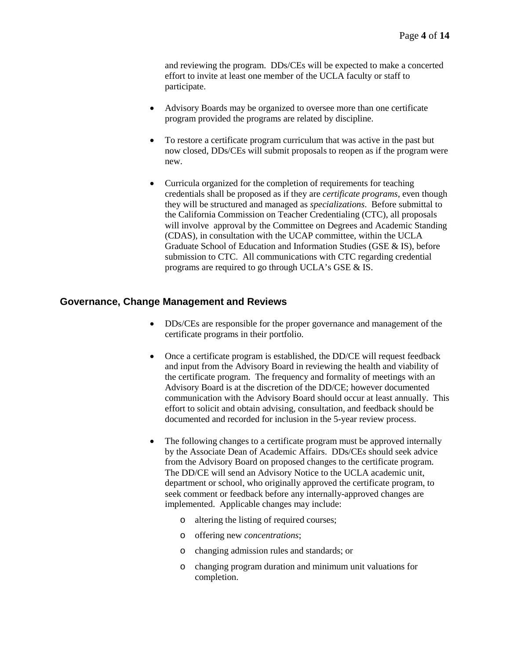and reviewing the program. DDs/CEs will be expected to make a concerted effort to invite at least one member of the UCLA faculty or staff to participate.

- Advisory Boards may be organized to oversee more than one certificate program provided the programs are related by discipline.
- To restore a certificate program curriculum that was active in the past but now closed, DDs/CEs will submit proposals to reopen as if the program were new.
- Curricula organized for the completion of requirements for teaching credentials shall be proposed as if they are *certificate programs*, even though they will be structured and managed as *specializations*. Before submittal to the California Commission on Teacher Credentialing (CTC), all proposals will involve approval by the Committee on Degrees and Academic Standing (CDAS), in consultation with the UCAP committee, within the UCLA Graduate School of Education and Information Studies (GSE & IS), before submission to CTC. All communications with CTC regarding credential programs are required to go through UCLA's GSE & IS.

# **Governance, Change Management and Reviews**

- DDs/CEs are responsible for the proper governance and management of the certificate programs in their portfolio.
- Once a certificate program is established, the DD/CE will request feedback and input from the Advisory Board in reviewing the health and viability of the certificate program. The frequency and formality of meetings with an Advisory Board is at the discretion of the DD/CE; however documented communication with the Advisory Board should occur at least annually. This effort to solicit and obtain advising, consultation, and feedback should be documented and recorded for inclusion in the 5-year review process.
- The following changes to a certificate program must be approved internally by the Associate Dean of Academic Affairs. DDs/CEs should seek advice from the Advisory Board on proposed changes to the certificate program. The DD/CE will send an Advisory Notice to the UCLA academic unit, department or school, who originally approved the certificate program, to seek comment or feedback before any internally-approved changes are implemented. Applicable changes may include:
	- o altering the listing of required courses;
	- o offering new *concentrations*;
	- o changing admission rules and standards; or
	- o changing program duration and minimum unit valuations for completion.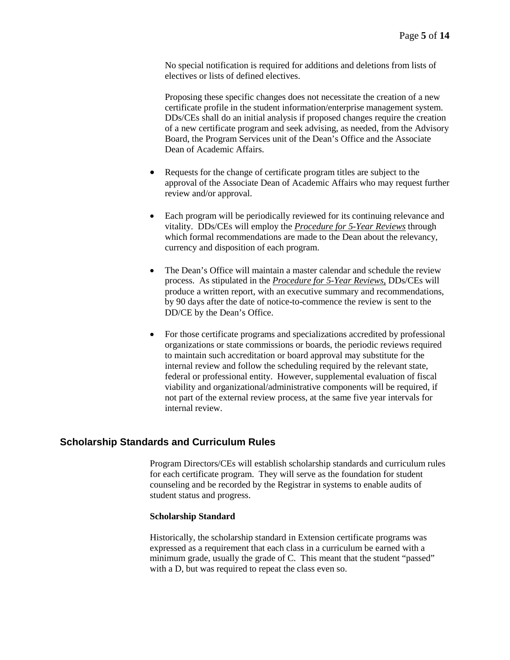No special notification is required for additions and deletions from lists of electives or lists of defined electives.

Proposing these specific changes does not necessitate the creation of a new certificate profile in the student information/enterprise management system. DDs/CEs shall do an initial analysis if proposed changes require the creation of a new certificate program and seek advising, as needed, from the Advisory Board, the Program Services unit of the Dean's Office and the Associate Dean of Academic Affairs.

- Requests for the change of certificate program titles are subject to the approval of the Associate Dean of Academic Affairs who may request further review and/or approval.
- Each program will be periodically reviewed for its continuing relevance and vitality. DDs/CEs will employ the *Procedure for 5-Year Reviews* through which formal recommendations are made to the Dean about the relevancy, currency and disposition of each program.
- The Dean's Office will maintain a master calendar and schedule the review process. As stipulated in the *Procedure for 5-Year Reviews*, DDs/CEs will produce a written report, with an executive summary and recommendations, by 90 days after the date of notice-to-commence the review is sent to the DD/CE by the Dean's Office.
- For those certificate programs and specializations accredited by professional organizations or state commissions or boards, the periodic reviews required to maintain such accreditation or board approval may substitute for the internal review and follow the scheduling required by the relevant state, federal or professional entity. However, supplemental evaluation of fiscal viability and organizational/administrative components will be required, if not part of the external review process, at the same five year intervals for internal review.

# **Scholarship Standards and Curriculum Rules**

Program Directors/CEs will establish scholarship standards and curriculum rules for each certificate program. They will serve as the foundation for student counseling and be recorded by the Registrar in systems to enable audits of student status and progress.

#### **Scholarship Standard**

Historically, the scholarship standard in Extension certificate programs was expressed as a requirement that each class in a curriculum be earned with a minimum grade, usually the grade of C. This meant that the student "passed" with a D, but was required to repeat the class even so.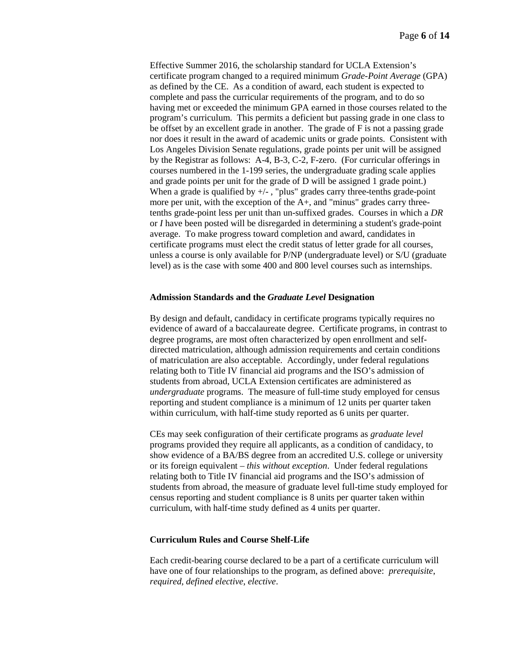Effective Summer 2016, the scholarship standard for UCLA Extension's certificate program changed to a required minimum *Grade-Point Average* (GPA) as defined by the CE. As a condition of award, each student is expected to complete and pass the curricular requirements of the program, and to do so having met or exceeded the minimum GPA earned in those courses related to the program's curriculum. This permits a deficient but passing grade in one class to be offset by an excellent grade in another. The grade of F is not a passing grade nor does it result in the award of academic units or grade points. Consistent with Los Angeles Division Senate regulations, grade points per unit will be assigned by the Registrar as follows: A-4, B-3, C-2, F-zero. (For curricular offerings in courses numbered in the 1-199 series, the undergraduate grading scale applies and grade points per unit for the grade of D will be assigned 1 grade point.) When a grade is qualified by  $+/-$ , "plus" grades carry three-tenths grade-point more per unit, with the exception of the  $A<sub>+</sub>$ , and "minus" grades carry threetenths grade-point less per unit than un-suffixed grades. Courses in which a *DR* or *I* have been posted will be disregarded in determining a student's grade-point average. To make progress toward completion and award, candidates in certificate programs must elect the credit status of letter grade for all courses, unless a course is only available for P/NP (undergraduate level) or S/U (graduate level) as is the case with some 400 and 800 level courses such as internships.

### **Admission Standards and the** *Graduate Level* **Designation**

By design and default, candidacy in certificate programs typically requires no evidence of award of a baccalaureate degree. Certificate programs, in contrast to degree programs, are most often characterized by open enrollment and selfdirected matriculation, although admission requirements and certain conditions of matriculation are also acceptable. Accordingly, under federal regulations relating both to Title IV financial aid programs and the ISO's admission of students from abroad, UCLA Extension certificates are administered as *undergraduate* programs. The measure of full-time study employed for census reporting and student compliance is a minimum of 12 units per quarter taken within curriculum, with half-time study reported as 6 units per quarter.

CEs may seek configuration of their certificate programs as *graduate level* programs provided they require all applicants, as a condition of candidacy, to show evidence of a BA/BS degree from an accredited U.S. college or university or its foreign equivalent *– this without exception*. Under federal regulations relating both to Title IV financial aid programs and the ISO's admission of students from abroad, the measure of graduate level full-time study employed for census reporting and student compliance is 8 units per quarter taken within curriculum, with half-time study defined as 4 units per quarter.

#### **Curriculum Rules and Course Shelf-Life**

Each credit-bearing course declared to be a part of a certificate curriculum will have one of four relationships to the program, as defined above: *prerequisite*, *required*, *defined elective*, *elective*.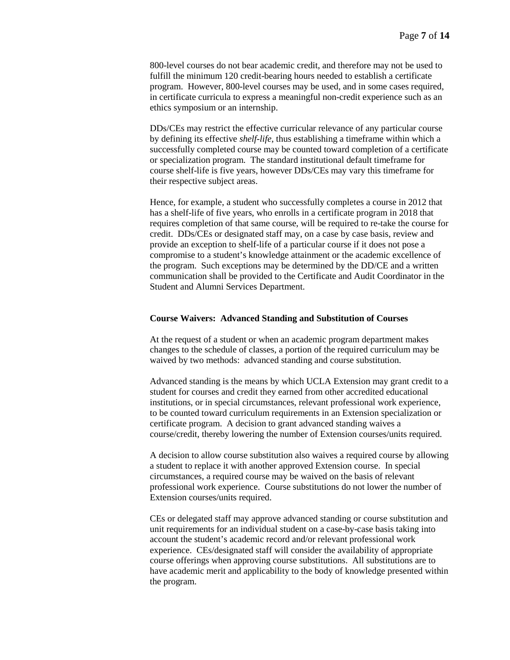800-level courses do not bear academic credit, and therefore may not be used to fulfill the minimum 120 credit-bearing hours needed to establish a certificate program. However, 800-level courses may be used, and in some cases required, in certificate curricula to express a meaningful non-credit experience such as an ethics symposium or an internship.

DDs/CEs may restrict the effective curricular relevance of any particular course by defining its effective *shelf-life*, thus establishing a timeframe within which a successfully completed course may be counted toward completion of a certificate or specialization program. The standard institutional default timeframe for course shelf-life is five years, however DDs/CEs may vary this timeframe for their respective subject areas.

Hence, for example, a student who successfully completes a course in 2012 that has a shelf-life of five years, who enrolls in a certificate program in 2018 that requires completion of that same course, will be required to re-take the course for credit. DDs/CEs or designated staff may, on a case by case basis, review and provide an exception to shelf-life of a particular course if it does not pose a compromise to a student's knowledge attainment or the academic excellence of the program. Such exceptions may be determined by the DD/CE and a written communication shall be provided to the Certificate and Audit Coordinator in the Student and Alumni Services Department.

#### **Course Waivers: Advanced Standing and Substitution of Courses**

At the request of a student or when an academic program department makes changes to the schedule of classes, a portion of the required curriculum may be waived by two methods: advanced standing and course substitution.

Advanced standing is the means by which UCLA Extension may grant credit to a student for courses and credit they earned from other accredited educational institutions, or in special circumstances, relevant professional work experience, to be counted toward curriculum requirements in an Extension specialization or certificate program. A decision to grant advanced standing waives a course/credit, thereby lowering the number of Extension courses/units required.

A decision to allow course substitution also waives a required course by allowing a student to replace it with another approved Extension course. In special circumstances, a required course may be waived on the basis of relevant professional work experience. Course substitutions do not lower the number of Extension courses/units required.

CEs or delegated staff may approve advanced standing or course substitution and unit requirements for an individual student on a case-by-case basis taking into account the student's academic record and/or relevant professional work experience. CEs/designated staff will consider the availability of appropriate course offerings when approving course substitutions. All substitutions are to have academic merit and applicability to the body of knowledge presented within the program.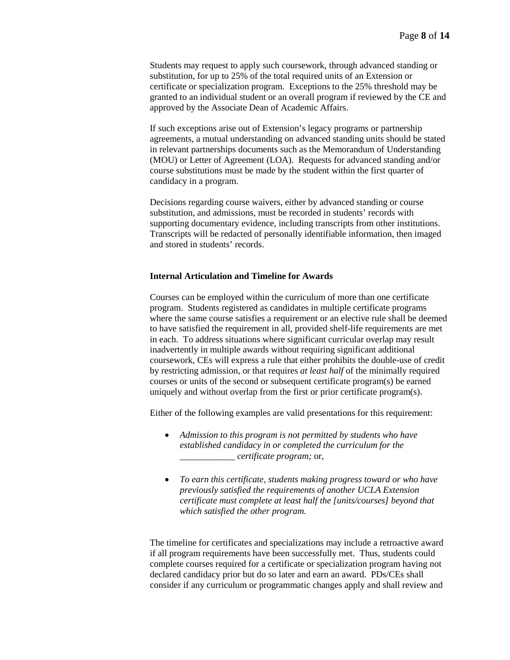Students may request to apply such coursework, through advanced standing or substitution, for up to 25% of the total required units of an Extension or certificate or specialization program. Exceptions to the 25% threshold may be granted to an individual student or an overall program if reviewed by the CE and approved by the Associate Dean of Academic Affairs.

If such exceptions arise out of Extension's legacy programs or partnership agreements, a mutual understanding on advanced standing units should be stated in relevant partnerships documents such as the Memorandum of Understanding (MOU) or Letter of Agreement (LOA). Requests for advanced standing and/or course substitutions must be made by the student within the first quarter of candidacy in a program.

Decisions regarding course waivers, either by advanced standing or course substitution, and admissions, must be recorded in students' records with supporting documentary evidence, including transcripts from other institutions. Transcripts will be redacted of personally identifiable information, then imaged and stored in students' records.

### **Internal Articulation and Timeline for Awards**

Courses can be employed within the curriculum of more than one certificate program. Students registered as candidates in multiple certificate programs where the same course satisfies a requirement or an elective rule shall be deemed to have satisfied the requirement in all, provided shelf-life requirements are met in each. To address situations where significant curricular overlap may result inadvertently in multiple awards without requiring significant additional coursework, CEs will express a rule that either prohibits the double-use of credit by restricting admission, or that requires *at least half* of the minimally required courses or units of the second or subsequent certificate program(s) be earned uniquely and without overlap from the first or prior certificate program(s).

Either of the following examples are valid presentations for this requirement:

- *Admission to this program is not permitted by students who have established candidacy in or completed the curriculum for the \_\_\_\_\_\_\_\_\_\_\_\_ certificate program;* or,
- *To earn this certificate, students making progress toward or who have previously satisfied the requirements of another UCLA Extension certificate must complete at least half the [units/courses] beyond that which satisfied the other program.*

The timeline for certificates and specializations may include a retroactive award if all program requirements have been successfully met. Thus, students could complete courses required for a certificate or specialization program having not declared candidacy prior but do so later and earn an award. PDs/CEs shall consider if any curriculum or programmatic changes apply and shall review and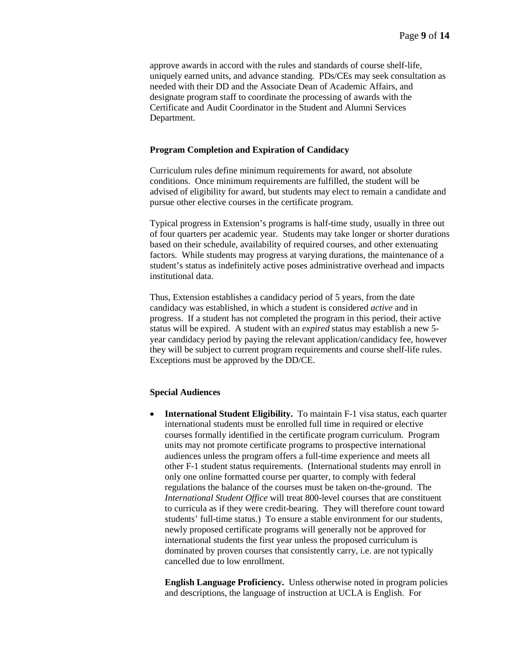approve awards in accord with the rules and standards of course shelf-life, uniquely earned units, and advance standing. PDs/CEs may seek consultation as needed with their DD and the Associate Dean of Academic Affairs, and designate program staff to coordinate the processing of awards with the Certificate and Audit Coordinator in the Student and Alumni Services Department.

#### **Program Completion and Expiration of Candidacy**

Curriculum rules define minimum requirements for award, not absolute conditions. Once minimum requirements are fulfilled, the student will be advised of eligibility for award, but students may elect to remain a candidate and pursue other elective courses in the certificate program.

Typical progress in Extension's programs is half-time study, usually in three out of four quarters per academic year. Students may take longer or shorter durations based on their schedule, availability of required courses, and other extenuating factors. While students may progress at varying durations, the maintenance of a student's status as indefinitely active poses administrative overhead and impacts institutional data.

Thus, Extension establishes a candidacy period of 5 years, from the date candidacy was established, in which a student is considered *active* and in progress. If a student has not completed the program in this period, their active status will be expired. A student with an *expired* status may establish a new 5 year candidacy period by paying the relevant application/candidacy fee, however they will be subject to current program requirements and course shelf-life rules. Exceptions must be approved by the DD/CE.

#### **Special Audiences**

• **International Student Eligibility.** To maintain F-1 visa status, each quarter international students must be enrolled full time in required or elective courses formally identified in the certificate program curriculum. Program units may not promote certificate programs to prospective international audiences unless the program offers a full-time experience and meets all other F-1 student status requirements. (International students may enroll in only one online formatted course per quarter, to comply with federal regulations the balance of the courses must be taken on-the-ground. The *International Student Office* will treat 800-level courses that are constituent to curricula as if they were credit-bearing. They will therefore count toward students' full-time status.) To ensure a stable environment for our students, newly proposed certificate programs will generally not be approved for international students the first year unless the proposed curriculum is dominated by proven courses that consistently carry, i.e. are not typically cancelled due to low enrollment.

**English Language Proficiency.** Unless otherwise noted in program policies and descriptions, the language of instruction at UCLA is English. For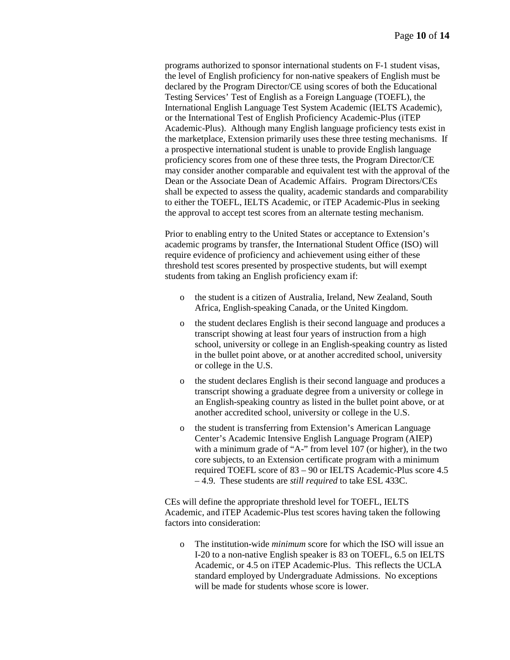programs authorized to sponsor international students on F-1 student visas, the level of English proficiency for non-native speakers of English must be declared by the Program Director/CE using scores of both the Educational Testing Services' Test of English as a Foreign Language (TOEFL), the International English Language Test System Academic (IELTS Academic), or the International Test of English Proficiency Academic-Plus (iTEP Academic-Plus). Although many English language proficiency tests exist in the marketplace, Extension primarily uses these three testing mechanisms. If a prospective international student is unable to provide English language proficiency scores from one of these three tests, the Program Director/CE may consider another comparable and equivalent test with the approval of the Dean or the Associate Dean of Academic Affairs. Program Directors/CEs shall be expected to assess the quality, academic standards and comparability to either the TOEFL, IELTS Academic, or iTEP Academic-Plus in seeking the approval to accept test scores from an alternate testing mechanism.

Prior to enabling entry to the United States or acceptance to Extension's academic programs by transfer, the International Student Office (ISO) will require evidence of proficiency and achievement using either of these threshold test scores presented by prospective students, but will exempt students from taking an English proficiency exam if:

- o the student is a citizen of Australia, Ireland, New Zealand, South Africa, English-speaking Canada, or the United Kingdom.
- o the student declares English is their second language and produces a transcript showing at least four years of instruction from a high school, university or college in an English-speaking country as listed in the bullet point above, or at another accredited school, university or college in the U.S.
- o the student declares English is their second language and produces a transcript showing a graduate degree from a university or college in an English-speaking country as listed in the bullet point above, or at another accredited school, university or college in the U.S.
- the student is transferring from Extension's American Language Center's Academic Intensive English Language Program (AIEP) with a minimum grade of "A-" from level 107 (or higher), in the two core subjects, to an Extension certificate program with a minimum required TOEFL score of 83 – 90 or IELTS Academic-Plus score 4.5 – 4.9. These students are *still required* to take ESL 433C.

CEs will define the appropriate threshold level for TOEFL, IELTS Academic, and iTEP Academic-Plus test scores having taken the following factors into consideration:

o The institution-wide *minimum* score for which the ISO will issue an I-20 to a non-native English speaker is 83 on TOEFL, 6.5 on IELTS Academic, or 4.5 on iTEP Academic-Plus. This reflects the UCLA standard employed by Undergraduate Admissions. No exceptions will be made for students whose score is lower.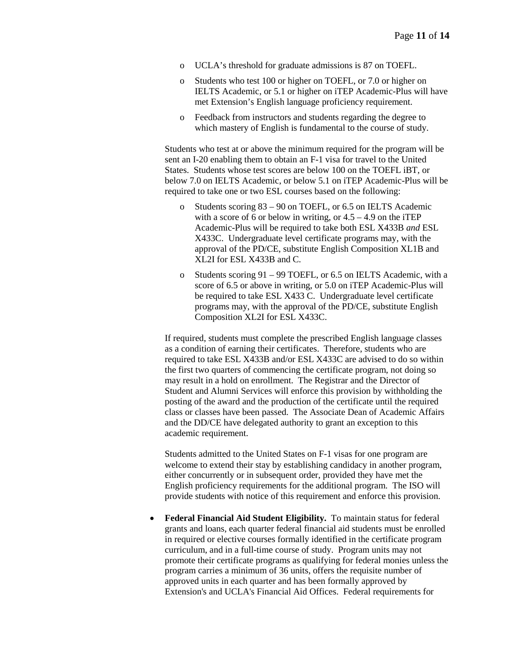- o UCLA's threshold for graduate admissions is 87 on TOEFL.
- o Students who test 100 or higher on TOEFL, or 7.0 or higher on IELTS Academic, or 5.1 or higher on iTEP Academic-Plus will have met Extension's English language proficiency requirement.
- o Feedback from instructors and students regarding the degree to which mastery of English is fundamental to the course of study.

Students who test at or above the minimum required for the program will be sent an I-20 enabling them to obtain an F-1 visa for travel to the United States. Students whose test scores are below 100 on the TOEFL iBT, or below 7.0 on IELTS Academic, or below 5.1 on iTEP Academic-Plus will be required to take one or two ESL courses based on the following:

- o Students scoring 83 90 on TOEFL, or 6.5 on IELTS Academic with a score of 6 or below in writing, or  $4.5 - 4.9$  on the iTEP Academic-Plus will be required to take both ESL X433B *and* ESL X433C. Undergraduate level certificate programs may, with the approval of the PD/CE, substitute English Composition XL1B and XL2I for ESL X433B and C.
- o Students scoring 91 99 TOEFL, or 6.5 on IELTS Academic, with a score of 6.5 or above in writing, or 5.0 on iTEP Academic-Plus will be required to take ESL X433 C. Undergraduate level certificate programs may, with the approval of the PD/CE, substitute English Composition XL2I for ESL X433C.

If required, students must complete the prescribed English language classes as a condition of earning their certificates. Therefore, students who are required to take ESL X433B and/or ESL X433C are advised to do so within the first two quarters of commencing the certificate program, not doing so may result in a hold on enrollment. The Registrar and the Director of Student and Alumni Services will enforce this provision by withholding the posting of the award and the production of the certificate until the required class or classes have been passed. The Associate Dean of Academic Affairs and the DD/CE have delegated authority to grant an exception to this academic requirement.

Students admitted to the United States on F-1 visas for one program are welcome to extend their stay by establishing candidacy in another program, either concurrently or in subsequent order, provided they have met the English proficiency requirements for the additional program. The ISO will provide students with notice of this requirement and enforce this provision.

• **Federal Financial Aid Student Eligibility.** To maintain status for federal grants and loans, each quarter federal financial aid students must be enrolled in required or elective courses formally identified in the certificate program curriculum, and in a full-time course of study. Program units may not promote their certificate programs as qualifying for federal monies unless the program carries a minimum of 36 units, offers the requisite number of approved units in each quarter and has been formally approved by Extension's and UCLA's Financial Aid Offices. Federal requirements for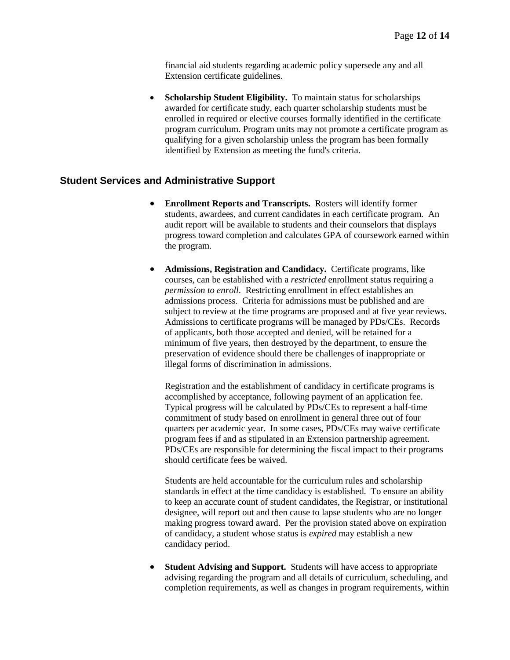financial aid students regarding academic policy supersede any and all Extension certificate guidelines.

**Scholarship Student Eligibility.** To maintain status for scholarships awarded for certificate study, each quarter scholarship students must be enrolled in required or elective courses formally identified in the certificate program curriculum. Program units may not promote a certificate program as qualifying for a given scholarship unless the program has been formally identified by Extension as meeting the fund's criteria.

# **Student Services and Administrative Support**

- **Enrollment Reports and Transcripts.** Rosters will identify former students, awardees, and current candidates in each certificate program. An audit report will be available to students and their counselors that displays progress toward completion and calculates GPA of coursework earned within the program.
- **Admissions, Registration and Candidacy.** Certificate programs, like courses, can be established with a *restricted* enrollment status requiring a *permission to enroll*. Restricting enrollment in effect establishes an admissions process. Criteria for admissions must be published and are subject to review at the time programs are proposed and at five year reviews. Admissions to certificate programs will be managed by PDs/CEs. Records of applicants, both those accepted and denied, will be retained for a minimum of five years, then destroyed by the department, to ensure the preservation of evidence should there be challenges of inappropriate or illegal forms of discrimination in admissions.

Registration and the establishment of candidacy in certificate programs is accomplished by acceptance, following payment of an application fee. Typical progress will be calculated by PDs/CEs to represent a half-time commitment of study based on enrollment in general three out of four quarters per academic year. In some cases, PDs/CEs may waive certificate program fees if and as stipulated in an Extension partnership agreement. PDs/CEs are responsible for determining the fiscal impact to their programs should certificate fees be waived.

Students are held accountable for the curriculum rules and scholarship standards in effect at the time candidacy is established. To ensure an ability to keep an accurate count of student candidates, the Registrar, or institutional designee, will report out and then cause to lapse students who are no longer making progress toward award. Per the provision stated above on expiration of candidacy, a student whose status is *expired* may establish a new candidacy period.

**Student Advising and Support.** Students will have access to appropriate advising regarding the program and all details of curriculum, scheduling, and completion requirements, as well as changes in program requirements, within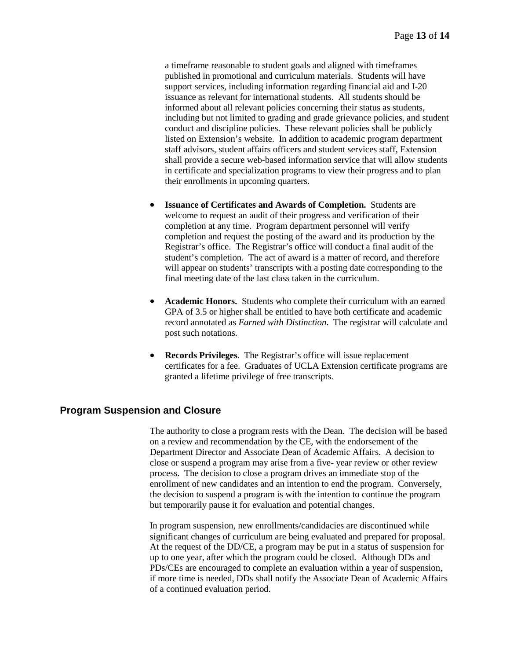a timeframe reasonable to student goals and aligned with timeframes published in promotional and curriculum materials. Students will have support services, including information regarding financial aid and I-20 issuance as relevant for international students. All students should be informed about all relevant policies concerning their status as students, including but not limited to grading and grade grievance policies, and student conduct and discipline policies. These relevant policies shall be publicly listed on Extension's website. In addition to academic program department staff advisors, student affairs officers and student services staff, Extension shall provide a secure web-based information service that will allow students in certificate and specialization programs to view their progress and to plan their enrollments in upcoming quarters.

- **Issuance of Certificates and Awards of Completion.** Students are welcome to request an audit of their progress and verification of their completion at any time. Program department personnel will verify completion and request the posting of the award and its production by the Registrar's office. The Registrar's office will conduct a final audit of the student's completion. The act of award is a matter of record, and therefore will appear on students' transcripts with a posting date corresponding to the final meeting date of the last class taken in the curriculum.
- **Academic Honors.** Students who complete their curriculum with an earned GPA of 3.5 or higher shall be entitled to have both certificate and academic record annotated as *Earned with Distinction*. The registrar will calculate and post such notations.
- **Records Privileges**. The Registrar's office will issue replacement certificates for a fee. Graduates of UCLA Extension certificate programs are granted a lifetime privilege of free transcripts.

## **Program Suspension and Closure**

The authority to close a program rests with the Dean. The decision will be based on a review and recommendation by the CE, with the endorsement of the Department Director and Associate Dean of Academic Affairs. A decision to close or suspend a program may arise from a five- year review or other review process. The decision to close a program drives an immediate stop of the enrollment of new candidates and an intention to end the program. Conversely, the decision to suspend a program is with the intention to continue the program but temporarily pause it for evaluation and potential changes.

In program suspension, new enrollments/candidacies are discontinued while significant changes of curriculum are being evaluated and prepared for proposal. At the request of the DD/CE, a program may be put in a status of suspension for up to one year, after which the program could be closed. Although DDs and PDs/CEs are encouraged to complete an evaluation within a year of suspension, if more time is needed, DDs shall notify the Associate Dean of Academic Affairs of a continued evaluation period.